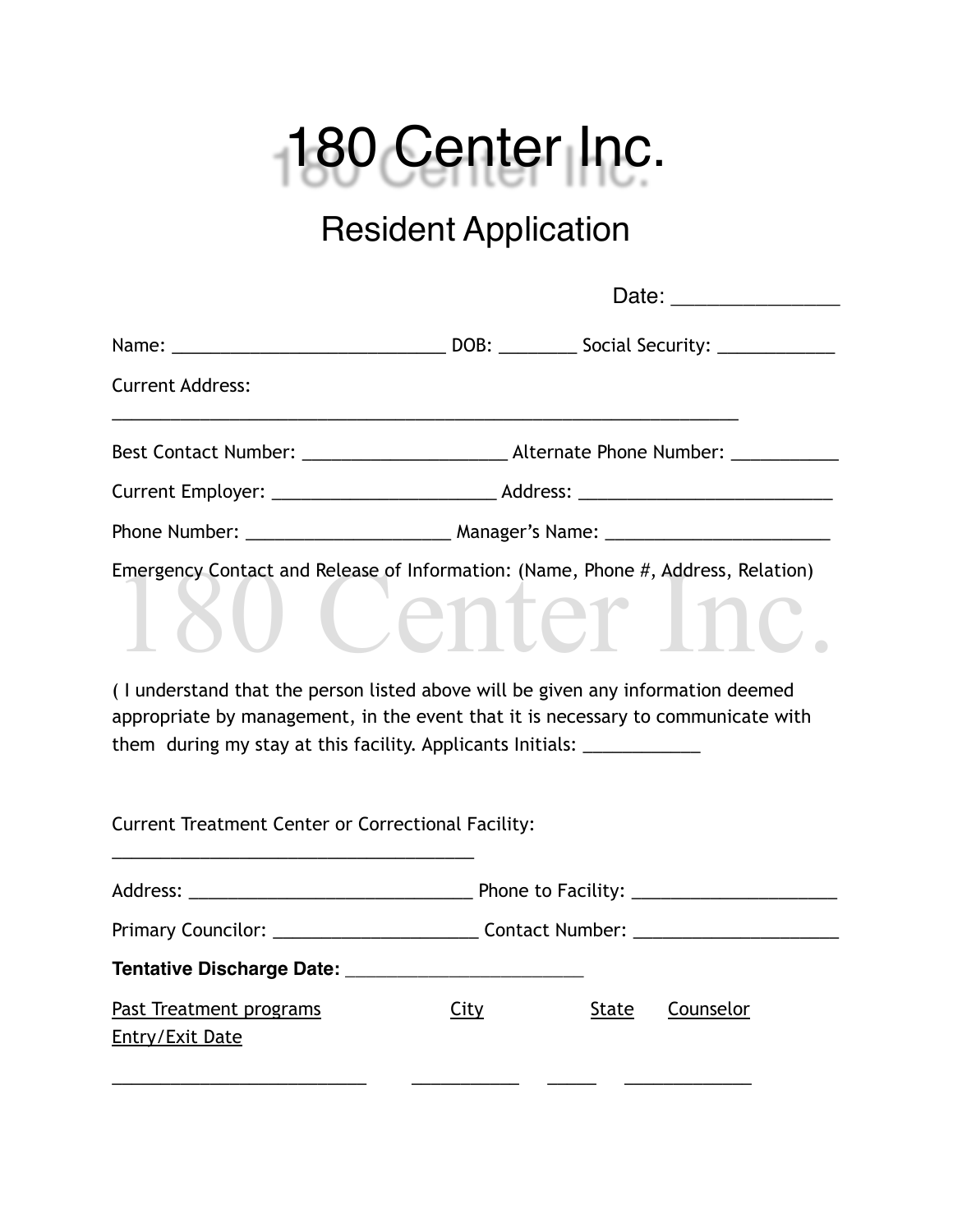

## Resident Application

|                                                                                                                                                                                                                                                                                                             |                                                                                  | Date: _________________ |           |  |  |  |
|-------------------------------------------------------------------------------------------------------------------------------------------------------------------------------------------------------------------------------------------------------------------------------------------------------------|----------------------------------------------------------------------------------|-------------------------|-----------|--|--|--|
|                                                                                                                                                                                                                                                                                                             |                                                                                  |                         |           |  |  |  |
| <b>Current Address:</b>                                                                                                                                                                                                                                                                                     |                                                                                  |                         |           |  |  |  |
|                                                                                                                                                                                                                                                                                                             |                                                                                  |                         |           |  |  |  |
|                                                                                                                                                                                                                                                                                                             |                                                                                  |                         |           |  |  |  |
|                                                                                                                                                                                                                                                                                                             |                                                                                  |                         |           |  |  |  |
| Emergency Contact and Release of Information: (Name, Phone #, Address, Relation)                                                                                                                                                                                                                            |                                                                                  |                         |           |  |  |  |
| (I understand that the person listed above will be given any information deemed<br>appropriate by management, in the event that it is necessary to communicate with<br>them during my stay at this facility. Applicants Initials: ____________<br><b>Current Treatment Center or Correctional Facility:</b> |                                                                                  |                         |           |  |  |  |
|                                                                                                                                                                                                                                                                                                             |                                                                                  |                         |           |  |  |  |
|                                                                                                                                                                                                                                                                                                             | Primary Councilor: ____________________________Contact Number: _________________ |                         |           |  |  |  |
|                                                                                                                                                                                                                                                                                                             |                                                                                  |                         |           |  |  |  |
| Past Treatment programs<br><u>Entry/Exit Date</u>                                                                                                                                                                                                                                                           | City                                                                             | State                   | Counselor |  |  |  |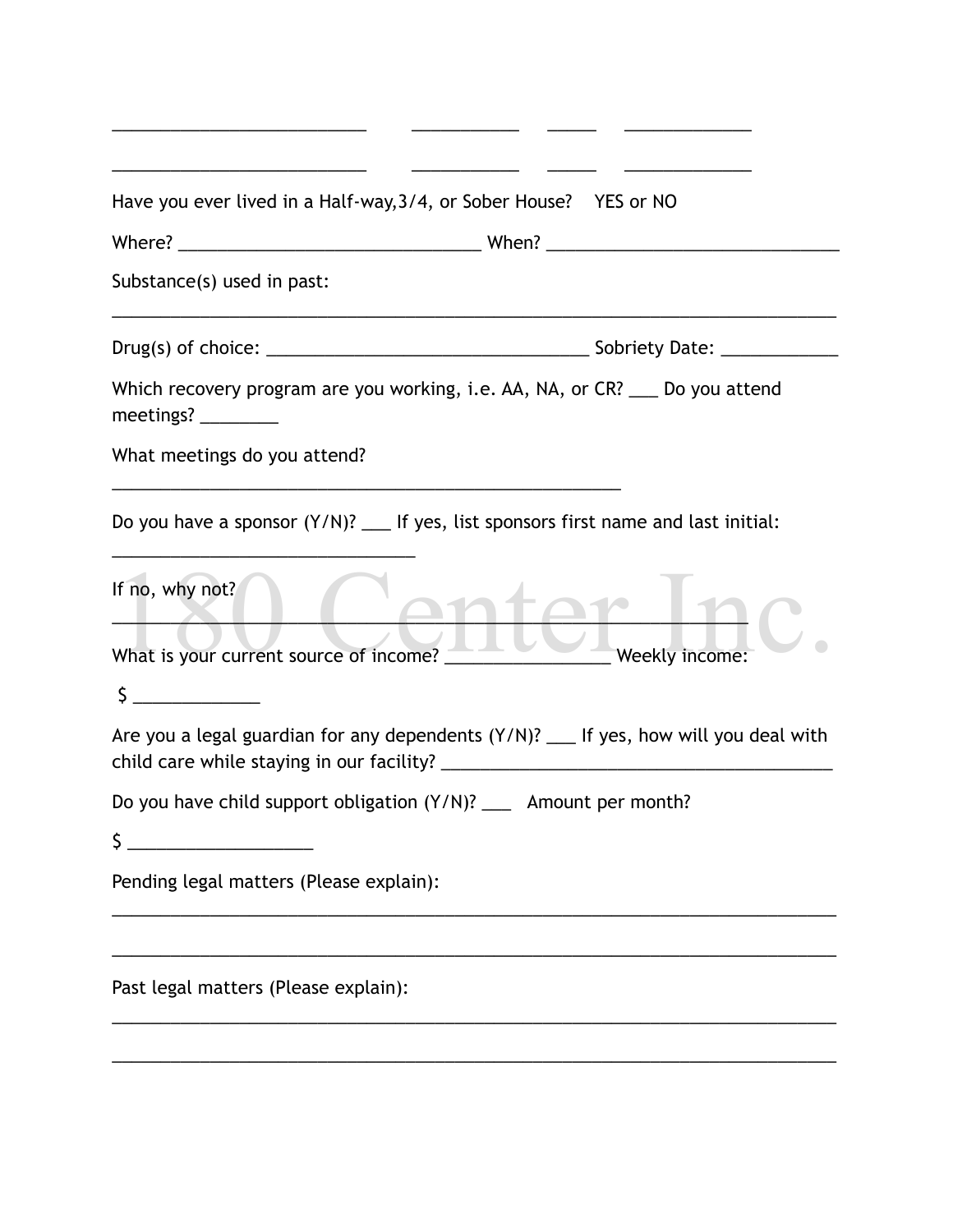| Have you ever lived in a Half-way, 3/4, or Sober House? YES or NO                       |
|-----------------------------------------------------------------------------------------|
|                                                                                         |
| Substance(s) used in past:                                                              |
|                                                                                         |
| Which recovery program are you working, i.e. AA, NA, or CR? ___ Do you attend           |
| What meetings do you attend?                                                            |
| Do you have a sponsor $(Y/N)$ ? ___ If yes, list sponsors first name and last initial:  |
| If no, why not?                                                                         |
| What is your current source of income?<br>Weekly income:                                |
| $\frac{1}{2}$                                                                           |
| Are you a legal guardian for any dependents $(Y/N)$ ? __ If yes, how will you deal with |
| Do you have child support obligation (Y/N)? __ Amount per month?                        |
| Ś.                                                                                      |
| Pending legal matters (Please explain):                                                 |
|                                                                                         |
| Past legal matters (Please explain):                                                    |
|                                                                                         |

\_\_\_\_\_\_\_\_\_\_\_\_\_\_\_\_\_\_\_\_\_\_\_\_\_\_ \_\_\_\_\_\_\_\_\_\_\_ \_\_\_\_\_ \_\_\_\_\_\_\_\_\_\_\_\_\_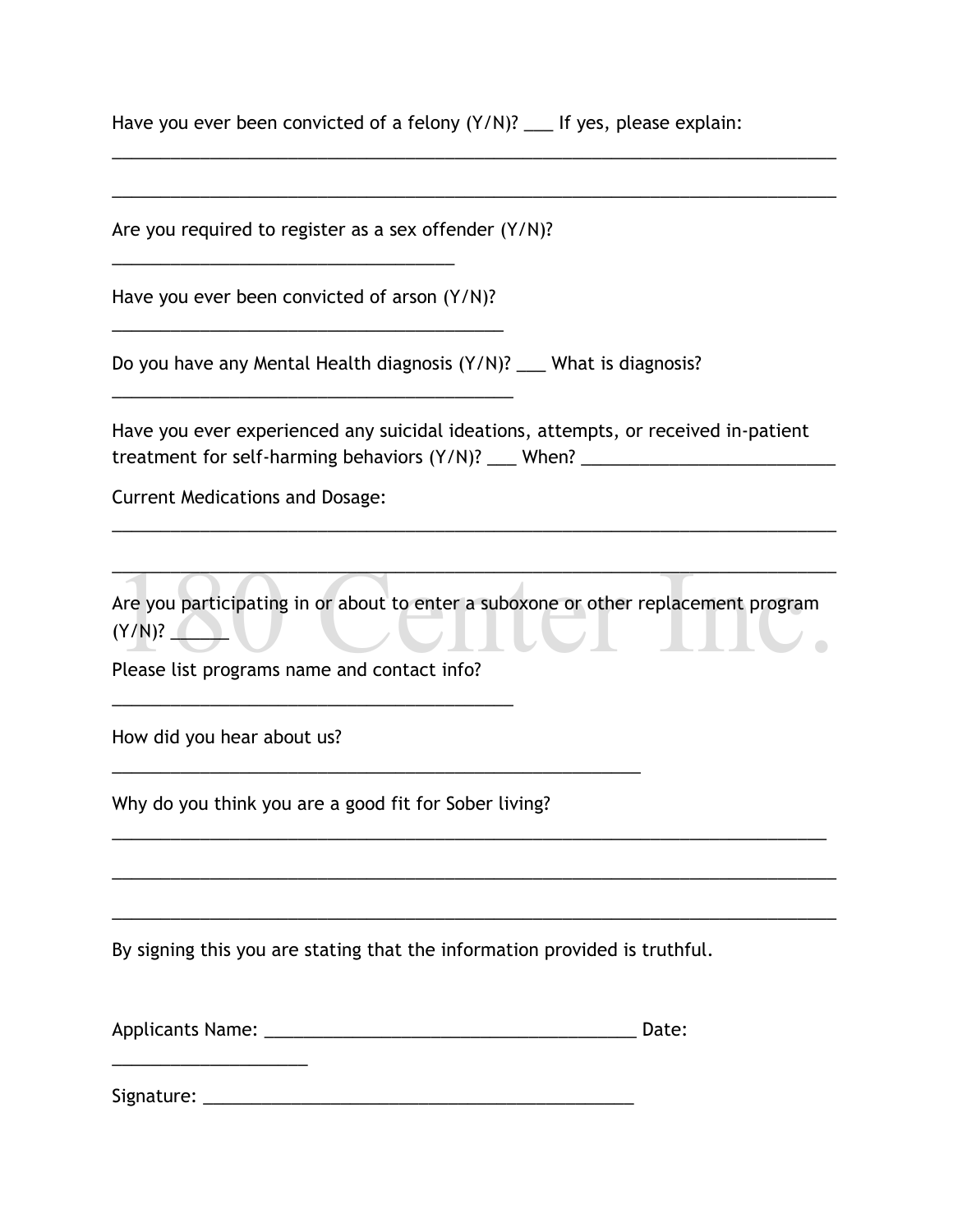| Have you ever been convicted of a felony (Y/N)? __ If yes, please explain: |  |
|----------------------------------------------------------------------------|--|
|----------------------------------------------------------------------------|--|

\_\_\_\_\_\_\_\_\_\_\_\_\_\_\_\_\_\_\_\_\_\_\_\_\_\_\_\_\_\_\_\_\_\_\_\_\_\_\_\_\_\_\_\_\_\_\_\_\_\_\_\_\_\_\_\_\_\_\_\_\_\_\_\_\_\_\_\_\_\_\_\_\_\_

| Are you required to register as a sex offender (Y/N)?                                                                                                                  |  |  |  |  |
|------------------------------------------------------------------------------------------------------------------------------------------------------------------------|--|--|--|--|
| Have you ever been convicted of arson (Y/N)?                                                                                                                           |  |  |  |  |
| Do you have any Mental Health diagnosis (Y/N)? ___ What is diagnosis?                                                                                                  |  |  |  |  |
| Have you ever experienced any suicidal ideations, attempts, or received in-patient<br>treatment for self-harming behaviors (Y/N)? ___ When? __________________________ |  |  |  |  |
| <b>Current Medications and Dosage:</b>                                                                                                                                 |  |  |  |  |
| (Y/N)?                                                                                                                                                                 |  |  |  |  |
| Are you participating in or about to enter a suboxone or other replacement program<br>Please list programs name and contact info?                                      |  |  |  |  |
| How did you hear about us?                                                                                                                                             |  |  |  |  |
| Why do you think you are a good fit for Sober living?                                                                                                                  |  |  |  |  |
| By signing this you are stating that the information provided is truthful.                                                                                             |  |  |  |  |